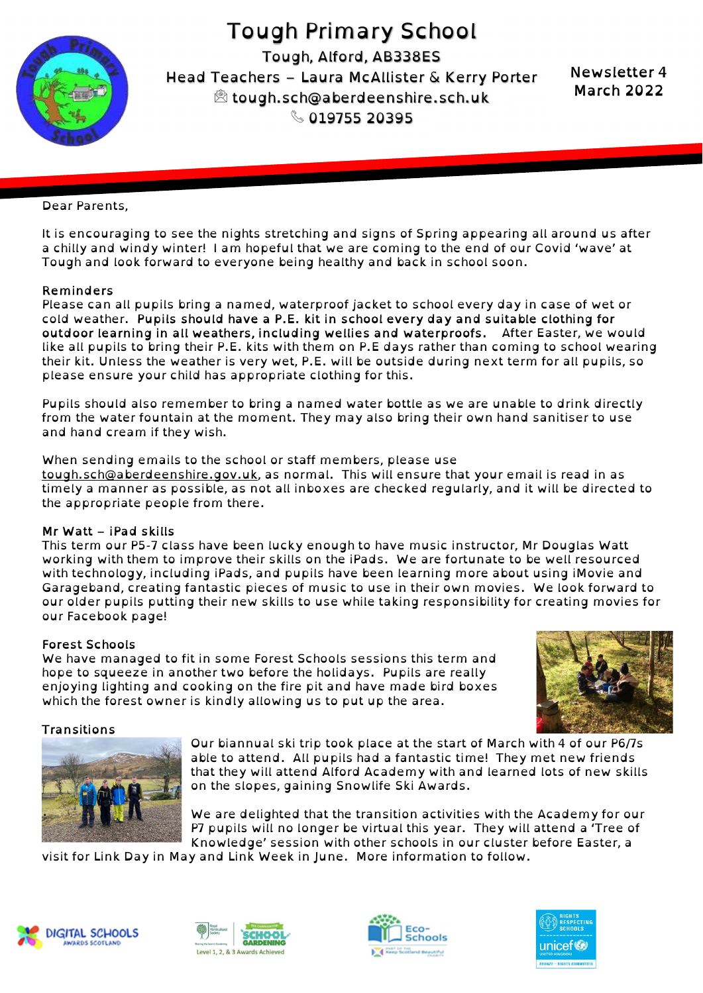

Tough Primary School Tough, Alford, AB338ES Head Teachers – Laura McAllister & Kerry Porter tough.sch@aberdeenshire.sch.uk  $\%$  019755 20395

Newsletter 4 March 2022

### Dear Parents,

It is encouraging to see the nights stretching and signs of Spring appearing all around us after a chilly and windy winter! I am hopeful that we are coming to the end of our Covid 'wave' at Tough and look forward to everyone being healthy and back in school soon.

## Reminders

Please can all pupils bring a named, waterproof jacket to school every day in case of wet or cold weather. Pupils should have a P.E. kit in school every day and suitable clothing for outdoor learning in all weathers, including wellies and waterproofs. After Easter, we would like all pupils to bring their P.E. kits with them on P.E days rather than coming to school wearing their kit. Unless the weather is very wet, P.E. will be outside during next term for all pupils, so please ensure your child has appropriate clothing for this.

Pupils should also remember to bring a named water bottle as we are unable to drink directly from the water fountain at the moment. They may also bring their own hand sanitiser to use and hand cream if they wish.

When sending emails to the school or staff members, please use tough.sch@aberdeenshire.gov.uk, as normal. This will ensure that your email is read in as timely a manner as possible, as not all inboxes are checked regularly, and it will be directed to the appropriate people from there.

### Mr Watt – iPad skills

This term our P5-7 class have been lucky enough to have music instructor, Mr Douglas Watt working with them to improve their skills on the iPads. We are fortunate to be well resourced with technology, including iPads, and pupils have been learning more about using iMovie and Garageband, creating fantastic pieces of music to use in their own movies. We look forward to our older pupils putting their new skills to use while taking responsibility for creating movies for our Facebook page!

### Forest Schools

We have managed to fit in some Forest Schools sessions this term and hope to squeeze in another two before the holidays. Pupils are really enjoying lighting and cooking on the fire pit and have made bird boxes which the forest owner is kindly allowing us to put up the area.



### Transitions



Our biannual ski trip took place at the start of March with 4 of our P6/7s able to attend. All pupils had a fantastic time! They met new friends that they will attend Alford Academy with and learned lots of new skills on the slopes, gaining Snowlife Ski Awards.

We are delighted that the transition activities with the Academy for our P7 pupils will no longer be virtual this year. They will attend a 'Tree of Knowledge' session with other schools in our cluster before Easter, a

visit for Link Day in May and Link Week in June. More information to follow.







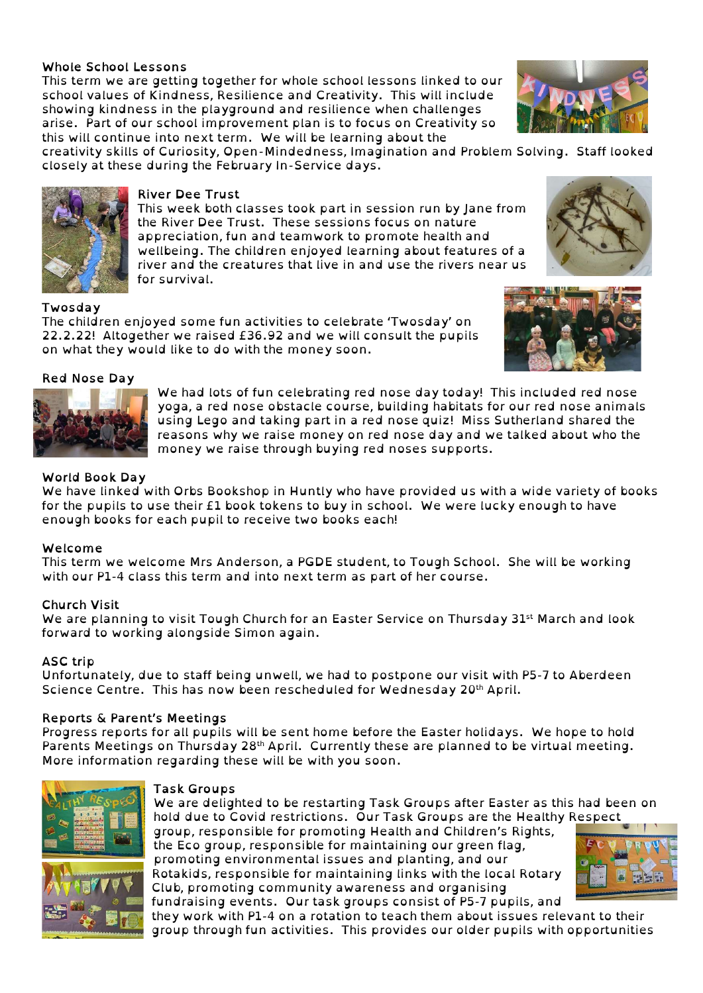# Whole School Lessons

This term we are getting together for whole school lessons linked to our school values of Kindness, Resilience and Creativity. This will include showing kindness in the playground and resilience when challenges arise. Part of our school improvement plan is to focus on Creativity so this will continue into next term. We will be learning about the

creativity skills of Curiosity, Open-Mindedness, Imagination and Problem Solving. Staff looked closely at these during the February In-Service days.

# River Dee Trust

This week both classes took part in session run by Jane from the River Dee Trust. These sessions focus on nature appreciation, fun and teamwork to promote health and wellbeing. The children enjoyed learning about features of a river and the creatures that live in and use the rivers near us for survival.

#### Twosday

The children enjoyed some fun activities to celebrate 'Twosday' on 22.2.22! Altogether we raised £36.92 and we will consult the pupils on what they would like to do with the money soon.

#### Red Nose Day

We had lots of fun celebrating red nose day today! This included red nose yoga, a red nose obstacle course, building habitats for our red nose animals using Lego and taking part in a red nose quiz! Miss Sutherland shared the reasons why we raise money on red nose day and we talked about who the money we raise through buying red noses supports.

## World Book Day

We have linked with Orbs Bookshop in Huntly who have provided us with a wide variety of books for the pupils to use their £1 book tokens to buy in school. We were lucky enough to have enough books for each pupil to receive two books each!

### Welcome

This term we welcome Mrs Anderson, a PGDE student, to Tough School. She will be working with our P1-4 class this term and into next term as part of her course.

### Church Visit

We are planning to visit Tough Church for an Easter Service on Thursday 31<sup>st</sup> March and look forward to working alongside Simon again.

# ASC trip

Unfortunately, due to staff being unwell, we had to postpone our visit with P5-7 to Aberdeen Science Centre. This has now been rescheduled for Wednesday 20<sup>th</sup> April.

### Reports & Parent's Meetings

Progress reports for all pupils will be sent home before the Easter holidays. We hope to hold Parents Meetings on Thursday 28<sup>th</sup> April. Currently these are planned to be virtual meeting. More information regarding these will be with you soon.

| rask Gro |
|----------|
| We are c |
| hold due |

### oups

delighted to be restarting Task Groups after Easter as this had been on hold due to Covid restrictions. Our Task Groups are the Healthy Respect

group, responsible for promoting Health and Children's Rights, the Eco group, responsible for maintaining our green flag, promoting environmental issues and planting, and our Rotakids, responsible for maintaining links with the local Rotary Club, promoting community awareness and organising

fundraising events. Our task groups consist of P5-7 pupils, and they work with P1-4 on a rotation to teach them about issues relevant to their group through fun activities. This provides our older pupils with opportunities